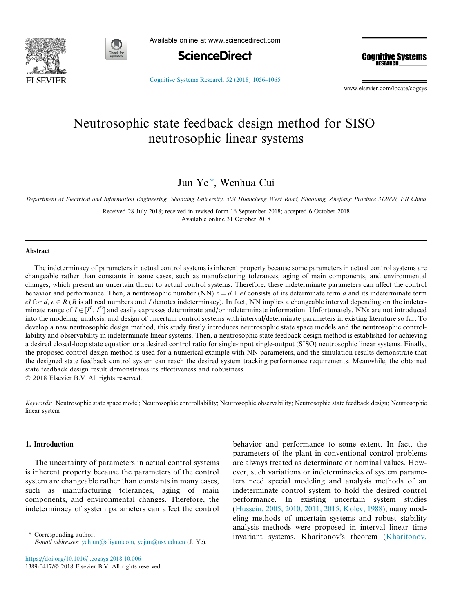



Available online at www.sciencedirect.com



**Cognitive Systems RESEARCH** 

[Cognitive Systems Research 52 \(2018\) 1056–1065](https://doi.org/10.1016/j.cogsys.2018.10.006)

www.elsevier.com/locate/cogsys

# Neutrosophic state feedback design method for SISO neutrosophic linear systems

Jun Ye\*, Wenhua Cui

Department of Electrical and Information Engineering, Shaoxing University, 508 Huancheng West Road, Shaoxing, Zhejiang Province 312000, PR China

Received 28 July 2018; received in revised form 16 September 2018; accepted 6 October 2018 Available online 31 October 2018

## Abstract

The indeterminacy of parameters in actual control systems is inherent property because some parameters in actual control systems are changeable rather than constants in some cases, such as manufacturing tolerances, aging of main components, and environmental changes, which present an uncertain threat to actual control systems. Therefore, these indeterminate parameters can affect the control behavior and performance. Then, a neutrosophic number (NN)  $z = d + eI$  consists of its determinate term d and its indeterminate term eI for d,  $e \in R$  (R is all real numbers and I denotes indeterminacy). In fact, NN implies a changeable interval depending on the indeterminate range of  $I \in [I^L, I^U]$  and easily expresses determinate and/or indeterminate information. Unfortunately, NNs are not introduced into the modeling, analysis, and design of uncertain control systems with interval/determinate parameters in existing literature so far. To develop a new neutrosophic design method, this study firstly introduces neutrosophic state space models and the neutrosophic controllability and observability in indeterminate linear systems. Then, a neutrosophic state feedback design method is established for achieving a desired closed-loop state equation or a desired control ratio for single-input single-output (SISO) neutrosophic linear systems. Finally, the proposed control design method is used for a numerical example with NN parameters, and the simulation results demonstrate that the designed state feedback control system can reach the desired system tracking performance requirements. Meanwhile, the obtained state feedback design result demonstrates its effectiveness and robustness.

2018 Elsevier B.V. All rights reserved.

Keywords: Neutrosophic state space model; Neutrosophic controllability; Neutrosophic observability; Neutrosophic state feedback design; Neutrosophic linear system

## 1. Introduction

The uncertainty of parameters in actual control systems is inherent property because the parameters of the control system are changeable rather than constants in many cases, such as manufacturing tolerances, aging of main components, and environmental changes. Therefore, the indeterminacy of system parameters can affect the control

behavior and performance to some extent. In fact, the parameters of the plant in conventional control problems are always treated as determinate or nominal values. However, such variations or indeterminacies of system parameters need special modeling and analysis methods of an indeterminate control system to hold the desired control performance. In existing uncertain system studies [\(Hussein, 2005, 2010, 2011, 2015; Kolev, 1988\)](#page-9-0), many modeling methods of uncertain systems and robust stability analysis methods were proposed in interval linear time invariant systems. Kharitonov's theorem ([Kharitonov,](#page-9-0)

<sup>\*</sup> Corresponding author. E-mail addresses: [yehjun@aliyun.com,](mailto:yehjun@aliyun.com) [yejun@usx.edu.cn](mailto:yejun@usx.edu.cn) (J. Ye).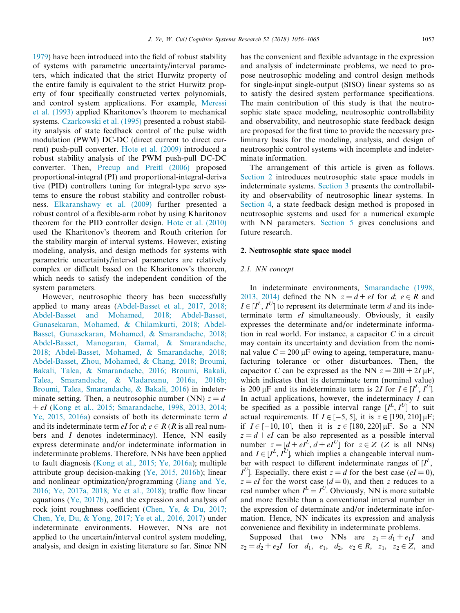[1979](#page-9-0)) have been introduced into the field of robust stability of systems with parametric uncertainty/interval parameters, which indicated that the strict Hurwitz property of the entire family is equivalent to the strict Hurwitz property of four specifically constructed vertex polynomials, and control system applications. For example, [Meressi](#page-9-0) [et al. \(1993\)](#page-9-0) applied Kharitonov's theorem to mechanical systems. [Czarkowski et al. \(1995\)](#page-9-0) presented a robust stability analysis of state feedback control of the pulse width modulation (PWM) DC-DC (direct current to direct current) push-pull converter. [Hote et al. \(2009\)](#page-9-0) introduced a robust stability analysis of the PWM push-pull DC-DC converter. Then, [Precup and Preitl \(2006\)](#page-9-0) proposed proportional-integral (PI) and proportional-integral-deriva tive (PID) controllers tuning for integral-type servo systems to ensure the robust stability and controller robustness. [Elkaranshawy et al. \(2009\)](#page-9-0) further presented a robust control of a flexible-arm robot by using Kharitonov theorem for the PID controller design. [Hote et al. \(2010\)](#page-9-0) used the Kharitonov's theorem and Routh criterion for the stability margin of interval systems. However, existing modeling, analysis, and design methods for systems with parametric uncertainty/interval parameters are relatively complex or difficult based on the Kharitonov's theorem, which needs to satisfy the independent condition of the system parameters.

However, neutrosophic theory has been successfully applied to many areas ([Abdel-Basset et al., 2017, 2018;](#page-9-0) [Abdel-Basset and Mohamed, 2018; Abdel-Basset,](#page-9-0) [Gunasekaran, Mohamed, & Chilamkurti, 2018; Abdel-](#page-9-0)[Basset, Gunasekaran, Mohamed, & Smarandache, 2018;](#page-9-0) [Abdel-Basset, Manogaran, Gamal, & Smarandache,](#page-9-0) [2018; Abdel-Basset, Mohamed, & Smarandache, 2018;](#page-9-0) [Abdel-Basset, Zhou, Mohamed, & Chang, 2018; Broumi,](#page-9-0) [Bakali, Talea, & Smarandache, 2016; Broumi, Bakali,](#page-9-0) [Talea, Smarandache, & Vladareanu, 2016a, 2016b;](#page-9-0) [Broumi, Talea, Smarandache, & Bakali, 2016](#page-9-0)) in indeterminate setting. Then, a neutrosophic number (NN)  $z = d$ + eI [\(Kong et al., 2015; Smarandache, 1998, 2013, 2014;](#page-9-0) [Ye, 2015, 2016a](#page-9-0)) consists of both its determinate term d and its indeterminate term eI for d;  $e \in R$  (R is all real numbers and *I* denotes indeterminacy). Hence, NN easily express determinate and/or indeterminate information in indeterminate problems. Therefore, NNs have been applied to fault diagnosis [\(Kong et al., 2015; Ye, 2016a](#page-9-0)); multiple attribute group decision-making [\(Ye, 2015, 2016b\)](#page-9-0); linear and nonlinear optimization/programming ([Jiang and Ye,](#page-9-0) [2016; Ye, 2017a, 2018; Ye et al., 2018](#page-9-0)); traffic flow linear equations ([Ye, 2017b](#page-9-0)), and the expression and analysis of rock joint roughness coefficient ([Chen, Ye, & Du, 2017;](#page-9-0) [Chen, Ye, Du, & Yong, 2017; Ye et al., 2016, 2017](#page-9-0)) under indeterminate environments. However, NNs are not applied to the uncertain/interval control system modeling, analysis, and design in existing literature so far. Since NN has the convenient and flexible advantage in the expression and analysis of indeterminate problems, we need to propose neutrosophic modeling and control design methods for single-input single-output (SISO) linear systems so as to satisfy the desired system performance specifications. The main contribution of this study is that the neutrosophic state space modeling, neutrosophic controllability and observability, and neutrosophic state feedback design are proposed for the first time to provide the necessary preliminary basis for the modeling, analysis, and design of neutrosophic control systems with incomplete and indeterminate information.

The arrangement of this article is given as follows. Section 2 introduces neutrosophic state space models in indeterminate systems. [Section 3](#page-3-0) presents the controllability and observability of neutrosophic linear systems. In [Section 4,](#page-4-0) a state feedback design method is proposed in neutrosophic systems and used for a numerical example with NN parameters. [Section 5](#page-8-0) gives conclusions and future research.

### 2. Neutrosophic state space model

#### 2.1. NN concept

In indeterminate environments, [Smarandache \(1998,](#page-9-0) [2013, 2014\)](#page-9-0) defined the NN  $z = d + eI$  for d;  $e \in R$  and  $I \in [I^L, I^U]$  to represent its determinate term d and its indeterminate term  $eI$  simultaneously. Obviously, it easily expresses the determinate and/or indeterminate information in real world. For instance, a capacitor  $C$  in a circuit may contain its uncertainty and deviation from the nominal value  $C = 200 \mu F$  owing to ageing, temperature, manufacturing tolerance or other disturbances. Then, the capacitor C can be expressed as the NN  $z = 200 + 2I \mu F$ , which indicates that its determinate term (nominal value) is 200  $\mu$ F and its indeterminate term is 2*I* for  $I \in [I^L, I^U]$ . In actual applications, however, the indeterminacy  $I$  can be specified as a possible interval range  $[I^L, I^U]$  to suit actual requirements. If  $I \in [-5, 5]$ , it is  $z \in [190, 210] \,\mu\text{F}$ ; if  $I \in [-10, 10]$ , then it is  $z \in [180, 220] \,\mu\text{F}$ . So a NN  $z = d + eI$  can be also represented as a possible interval number  $z = [d + eI^L, d + eI^U]$  for  $z \in Z$  (Z is all NNs) and  $I \in [I^L, I^U]$ , which implies a changeable interval number with respect to different indeterminate ranges of  $[I<sup>L</sup>,$  $I^{U}$ ]. Especially, there exist  $z = d$  for the best case (e $I = 0$ ),  $z = eI$  for the worst case  $(d = 0)$ , and then z reduces to a real number when  $I^L = I^U$ . Obviously, NN is more suitable and more flexible than a conventional interval number in the expression of determinate and/or indeterminate information. Hence, NN indicates its expression and analysis convenience and flexibility in indeterminate problems.

Supposed that two NNs are  $z_1 = d_1 + e_1 I$  and  $z_2 = d_2 + e_2I$  for  $d_1$ ,  $e_1$ ,  $d_2$ ,  $e_2 \in R$ ,  $z_1$ ,  $z_2 \in Z$ , and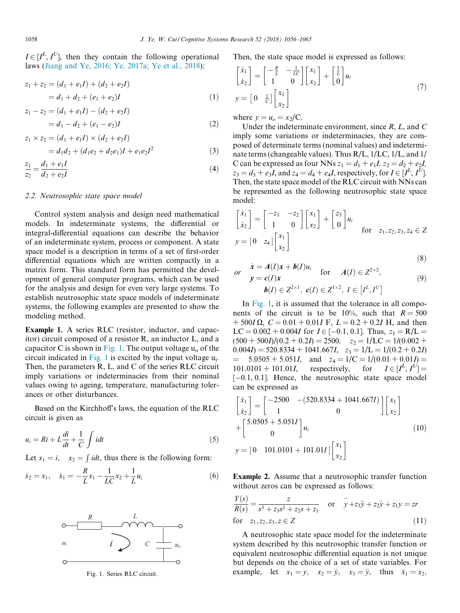$I \in [I^L, I^U]$ , then they contain the following operational laws [\(Jiang and Ye, 2016; Ye, 2017a; Ye et al., 2018](#page-9-0)):

$$
z_1 + z_2 = (d_1 + e_1I) + (d_2 + e_2I)
$$
  
= d<sub>1</sub> + d<sub>2</sub> + (e<sub>1</sub> + e<sub>2</sub>)I (1)  

$$
z_1 - z_2 = (d_1 + e_1I) - (d_2 + e_2I)
$$

$$
= d_1 - d_2 + (e_1 - e_2)I \tag{2}
$$

$$
z_1 \times z_2 = (d_1 + e_1 I) \times (d_2 + e_2 I)
$$

$$
= d_1 d_2 + (d_1 e_2 + d_2 e_1)I + e_1 e_2 I^2 \tag{3}
$$

$$
\frac{z_1}{z_2} = \frac{d_1 + e_1 I}{d_2 + e_2 I} \tag{4}
$$

## 2.2. Neutrosophic state space model

Control system analysis and design need mathematical models. In indeterminate systems, the differential or integral-differential equations can describe the behavior of an indeterminate system, process or component. A state space model is a description in terms of a set of first-order differential equations which are written compactly in a matrix form. This standard form has permitted the development of general computer programs, which can be used for the analysis and design for even very large systems. To establish neutrosophic state space models of indeterminate systems, the following examples are presented to show the modeling method.

Example 1. A series RLC (resistor, inductor, and capacitor) circuit composed of a resistor R, an inductor L, and a capacitor C is shown in Fig. 1. The output voltage  $u_0$  of the circuit indicated in Fig. 1 is excited by the input voltage ui. Then, the parameters R, L, and C of the series RLC circuit imply variations or indeterminacies from their nominal values owing to ageing, temperature, manufacturing tolerances or other disturbances.

Based on the Kirchhoff's laws, the equation of the RLC circuit is given as

$$
u_i = Ri + L\frac{di}{dt} + \frac{1}{C} \int i dt
$$
\n(5)

Let  $x_1 = i$ ,  $x_2 = \int i dt$ , thus there is the following form:

$$
\dot{x}_2 = x_1, \quad \dot{x}_1 = -\frac{R}{L}x_1 - \frac{1}{LC}x_2 + \frac{1}{L}u_i \tag{6}
$$



Fig. 1. Series RLC circuit.

Then, the state space model is expressed as follows:

$$
\begin{bmatrix} \dot{x}_1 \\ \dot{x}_2 \end{bmatrix} = \begin{bmatrix} -\frac{R}{L} & -\frac{1}{LC} \\ 1 & 0 \end{bmatrix} \begin{bmatrix} x_1 \\ x_2 \end{bmatrix} + \begin{bmatrix} \frac{1}{L} \\ 0 \end{bmatrix} u_i
$$
  

$$
y = \begin{bmatrix} 0 & \frac{1}{C} \end{bmatrix} \begin{bmatrix} x_1 \\ x_2 \end{bmatrix}
$$
 (7)

where  $y = u_0 = x_2/C$ .

Under the indeterminate environment, since  $R$ ,  $L$ , and  $C$ imply some variations or indeterminacies, they are composed of determinate terms (nominal values) and indeterminate terms (changeable values). Thus R/L, 1/LC, 1/L, and 1/ C can be expressed as four NNs  $z_1 = d_1 + e_1 I$ ,  $z_2 = d_2 + e_2 I$ ,  $z_3 = d_3 + e_3 I$ , and  $z_4 = d_4 + e_4 I$ , respectively, for  $I \in [I^L, I^U]$ . Then, the state space model of the RLC circuit with NNs can be represented as the following neutrosophic state space model:

$$
\begin{bmatrix} \dot{x}_1 \\ \dot{x}_2 \end{bmatrix} = \begin{bmatrix} -z_1 & -z_2 \\ 1 & 0 \end{bmatrix} \begin{bmatrix} x_1 \\ x_2 \end{bmatrix} + \begin{bmatrix} z_3 \\ 0 \end{bmatrix} u_i
$$
  
for  $z_1, z_2, z_3, z_4 \in Z$   

$$
y = \begin{bmatrix} 0 & z_4 \end{bmatrix} \begin{bmatrix} x_1 \\ x_2 \end{bmatrix}
$$

$$
\dot{\mathbf{r}} = A(I)\mathbf{r} + \mathbf{b}(I)u. \tag{8}
$$

or 
$$
x = A(I)x + b(I)u_i
$$
 for  $A(I) \in Z^{2\times 2}$ ,  
\n $y = c(I)x$  for  $A(I) \in Z^{2\times 2}$ ,  
\n $b(I) \in Z^{2\times 1}$ ,  $c(I) \in Z^{1\times 2}$ ,  $I \in [I^L, I^U]$  (9)

In Fig. 1, it is assumed that the tolerance in all components of the circuit is to be 10%, such that  $R = 500$  $+ 500I \Omega$ ,  $C = 0.01 + 0.01I$  F,  $L = 0.2 + 0.2I$  H, and then LC =  $0.002 + 0.004I$  for  $I \in [-0.1, 0.1]$ . Thus,  $z_1 = R/L$  =  $(500 + 500I)/(0.2 + 0.2I) = 2500$ ,  $z_2 = 1/LC = 1/(0.002 +$  $0.004I$ ) = 520.8334 + 1041.667*I*,  $z_3 = 1/L = 1/(0.2 + 0.2I)$ =  $5.0505 + 5.051I$ , and  $z_4 = 1/C = 1/(0.01 + 0.01I) =$ <br>101.0101 + 101.01I, respectively, for  $I \in [I^L, I^U] =$  $101.0101 + 101.01I$ , respectively, for  $I \in [I^L, I^U] =$ [-0.1, 0.1]. Hence, the neutrosophic state space model can be expressed as

$$
\begin{bmatrix} \dot{x}_1 \\ \dot{x}_2 \end{bmatrix} = \begin{bmatrix} -2500 & -(520.8334 + 1041.667I) \\ 1 & 0 \end{bmatrix} \begin{bmatrix} x_1 \\ x_2 \end{bmatrix} + \begin{bmatrix} 5.0505 + 5.051I \\ 0 \end{bmatrix} u_i
$$
\n
$$
y = \begin{bmatrix} 0 & 101.0101 + 101.01I \end{bmatrix} \begin{bmatrix} x_1 \\ x_2 \end{bmatrix}
$$
\n(10)

Example 2. Assume that a neutrosophic transfer function without zeros can be expressed as follows:

$$
\frac{Y(s)}{R(s)} = \frac{z}{s^3 + z_3 s^2 + z_2 s + z_1} \quad \text{or} \quad y + z_3 \ddot{y} + z_2 \dot{y} + z_1 y = zr
$$
\n
$$
\text{for} \quad z_1, z_2, z_3, z \in Z \tag{11}
$$

A neutrosophic state space model for the indeterminate system described by this neutrosophic transfer function or equivalent neutrosophic differential equation is not unique but depends on the choice of a set of state variables. For example, let  $x_1 = y$ ,  $x_2 = \dot{y}$ ,  $x_3 = \ddot{y}$ , thus  $\dot{x}_1 = x_2$ ,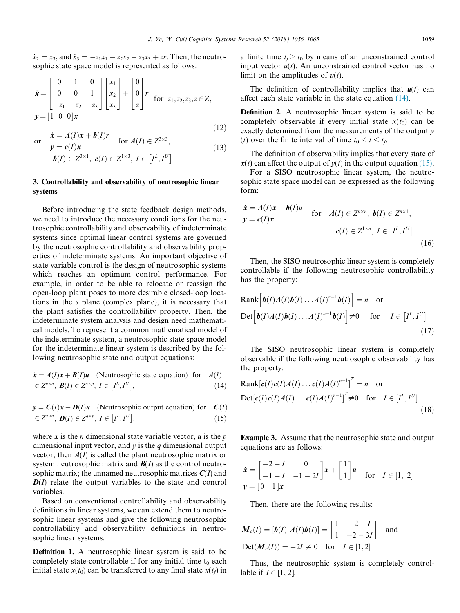$(12)$ 

<span id="page-3-0"></span> $\dot{x}_2 = x_3$ , and  $\dot{x}_3 = -z_1x_1 - z_2x_2 - z_3x_3 + zr$ . Then, the neutrosophic state space model is represented as follows:

$$
\dot{\mathbf{x}} = \begin{bmatrix} 0 & 1 & 0 \\ 0 & 0 & 1 \\ -z_1 & -z_2 & -z_3 \end{bmatrix} \begin{bmatrix} x_1 \\ x_2 \\ x_3 \end{bmatrix} + \begin{bmatrix} 0 \\ 0 \\ z \end{bmatrix} r \quad \text{for } z_1, z_2, z_3, z \in Z, \quad \mathbf{y} = \begin{bmatrix} 1 & 0 & 0 \end{bmatrix} \mathbf{x}
$$

or 
$$
\dot{x} = A(I)x + b(I)r
$$
 for  $A(I) \in Z^{3\times 3}$ ,  
\n $y = c(I)x$  for  $A(I) \in Z^{3\times 3}$ ,  
\n $b(I) \in Z^{3\times 1}$ ,  $c(I) \in Z^{1\times 3}$ ,  $I \in [I^L, I^U]$  (13)

## 3. Controllability and observability of neutrosophic linear systems

Before introducing the state feedback design methods, we need to introduce the necessary conditions for the neutrosophic controllability and observability of indeterminate systems since optimal linear control systems are governed by the neutrosophic controllability and observability properties of indeterminate systems. An important objective of state variable control is the design of neutrosophic systems which reaches an optimum control performance. For example, in order to be able to relocate or reassign the open-loop plant poses to more desirable closed-loop locations in the s plane (complex plane), it is necessary that the plant satisfies the controllability property. Then, the indeterminate system analysis and design need mathematical models. To represent a common mathematical model of the indeterminate system, a neutrosophic state space model for the indeterminate linear system is described by the following neutrosophic state and output equations:

$$
\dot{\mathbf{x}} = A(I)\mathbf{x} + B(I)\mathbf{u} \quad \text{(Neutrosophic state equation)} \quad \text{for} \quad A(I)
$$
\n
$$
\in Z^{n \times n}, \ B(I) \in Z^{n \times p}, \ I \in [I^L, I^U], \tag{14}
$$

$$
\mathbf{y} = \mathbf{C}(I)\mathbf{x} + \mathbf{D}(I)\mathbf{u}
$$
 (Neutrosophic output equation) for  $\mathbf{C}(I)$   
 $\in Z^{q \times n}$ ,  $\mathbf{D}(I) \in Z^{q \times p}$ ,  $I \in [I^L, I^U]$ , (15)

where x is the *n* dimensional state variable vector,  $\boldsymbol{u}$  is the *p* dimensional input vector, and  $y$  is the  $q$  dimensional output vector; then  $A(I)$  is called the plant neutrosophic matrix or system neutrosophic matrix and  $B(I)$  as the control neutrosophic matrix; the unnamed neutrosophic matrices  $C(I)$  and  $D(I)$  relate the output variables to the state and control variables.

Based on conventional controllability and observability definitions in linear systems, we can extend them to neutrosophic linear systems and give the following neutrosophic controllability and observability definitions in neutrosophic linear systems.

Definition 1. A neutrosophic linear system is said to be completely state-controllable if for any initial time  $t_0$  each initial state  $x(t_0)$  can be transferred to any final state  $x(t_f)$  in a finite time  $t_f > t_0$  by means of an unconstrained control input vector  $u(t)$ . An unconstrained control vector has no limit on the amplitudes of  $u(t)$ .

The definition of controllability implies that  $u(t)$  can affect each state variable in the state equation (14).

Definition 2. A neutrosophic linear system is said to be completely observable if every initial state  $x(t_0)$  can be exactly determined from the measurements of the output y (t) over the finite interval of time  $t_0 \le t \le t_f$ .

The definition of observability implies that every state of  $x(t)$  can affect the output of  $y(t)$  in the output equation (15).

For a SISO neutrosophic linear system, the neutrosophic state space model can be expressed as the following form:

$$
\begin{aligned}\n\dot{\mathbf{x}} &= A(I)\mathbf{x} + \mathbf{b}(I)u \\
\mathbf{y} &= \mathbf{c}(I)\mathbf{x}\n\end{aligned}\n\quad \text{for} \quad\nA(I) \in Z^{n \times n}, \quad\n\mathbf{b}(I) \in Z^{n \times 1}, \\
\mathbf{c}(I) \in Z^{1 \times n}, \quad I \in [I^L, I^U]\n\tag{16}
$$

Then, the SISO neutrosophic linear system is completely controllable if the following neutrosophic controllability has the property:

$$
\text{Rank}\left[\boldsymbol{b}(I)\boldsymbol{A}(I)\boldsymbol{b}(I)\dots\boldsymbol{A}(I)^{n-1}\boldsymbol{b}(I)\right] = n \quad \text{or}
$$
\n
$$
\text{Det}\left[\boldsymbol{b}(I)\boldsymbol{A}(I)\boldsymbol{b}(I)\dots\boldsymbol{A}(I)^{n-1}\boldsymbol{b}(I)\right] \neq 0 \quad \text{for} \quad I \in [I^L, I^U]
$$
\n(17)

The SISO neutrosophic linear system is completely observable if the following neutrosophic observability has the property:

$$
Rank[c(I)c(I)A(I)...c(I)A(I)^{n-1}]^{T} = n \text{ or}
$$
  

$$
Det[c(I)c(I)A(I)...c(I)A(I)^{n-1}]^{T} \neq 0 \text{ for } I \in [I^{L}, I^{U}]
$$
\n(18)

Example 3. Assume that the neutrosophic state and output equations are as follows:

$$
\dot{\mathbf{x}} = \begin{bmatrix} -2 - I & 0 \\ -1 - I & -1 - 2I \end{bmatrix} \mathbf{x} + \begin{bmatrix} 1 \\ 1 \end{bmatrix} \mathbf{u} \quad \text{for} \quad I \in [1, 2]
$$

$$
\mathbf{y} = \begin{bmatrix} 0 & 1 \end{bmatrix} \mathbf{x}
$$

Then, there are the following results:

$$
\mathbf{M}_c(I) = [\mathbf{b}(I) \ A(I)\mathbf{b}(I)] = \begin{bmatrix} 1 & -2 - I \\ 1 & -2 - 3I \end{bmatrix}
$$
 and  
 
$$
\text{Det}(\mathbf{M}_c(I)) = -2I \neq 0 \text{ for } I \in [1, 2]
$$

Thus, the neutrosophic system is completely controllable if  $I \in [1, 2]$ .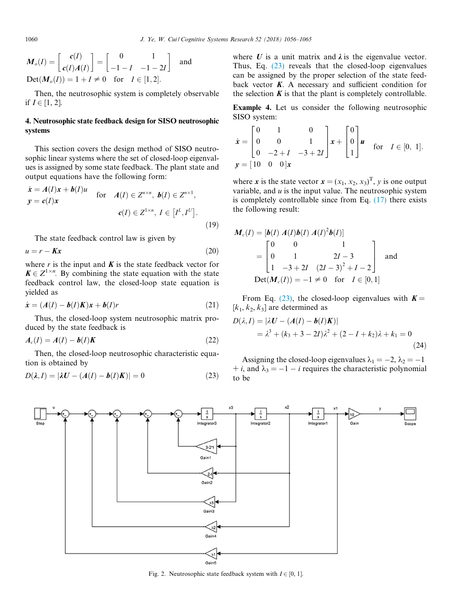$$
\mathbf{M}_o(I) = \begin{bmatrix} c(I) \\ c(I)\mathbf{\Lambda}(I) \end{bmatrix} = \begin{bmatrix} 0 & 1 \\ -1 - I & -1 - 2I \end{bmatrix}
$$
 and  
 
$$
Det(\mathbf{M}_o(I)) = 1 + I \neq 0 \text{ for } I \in [1, 2].
$$

Then, the neutrosophic system is completely observable if  $I \in [1, 2]$ .

# 4. Neutrosophic state feedback design for SISO neutrosophic systems

This section covers the design method of SISO neutrosophic linear systems where the set of closed-loop eigenvalues is assigned by some state feedback. The plant state and output equations have the following form:

$$
\dot{\mathbf{x}} = A(I)\mathbf{x} + \mathbf{b}(I)u \quad \text{for} \quad A(I) \in Z^{n \times n}, \ \mathbf{b}(I) \in Z^{n \times 1},
$$
\n
$$
\mathbf{y} = \mathbf{c}(I)\mathbf{x} \qquad \mathbf{c}(I) \in Z^{1 \times n}, \ I \in [I^L, I^U].
$$
\n(19)

The state feedback control law is given by

$$
u = r - Kx \tag{20}
$$

where  $r$  is the input and  $\boldsymbol{K}$  is the state feedback vector for  $K \in \mathbb{Z}^{1 \times n}$ . By combining the state equation with the state feedback control law, the closed-loop state equation is yielded as

$$
\dot{\mathbf{x}} = (A(I) - \mathbf{b}(I)\mathbf{K})\mathbf{x} + \mathbf{b}(I)r
$$
\n(21)

Thus, the closed-loop system neutrosophic matrix produced by the state feedback is

$$
A_c(I) = A(I) - b(I)K
$$
\n(22)

Then, the closed-loop neutrosophic characteristic equation is obtained by

$$
D(\lambda, I) = |\lambda U - (A(I) - b(I)K)| = 0
$$
\n(23)

where U is a unit matrix and  $\lambda$  is the eigenvalue vector. Thus, Eq. (23) reveals that the closed-loop eigenvalues can be assigned by the proper selection of the state feedback vector  $K$ . A necessary and sufficient condition for the selection  $\boldsymbol{K}$  is that the plant is completely controllable.

Example 4. Let us consider the following neutrosophic SISO system:

$$
\dot{\mathbf{x}} = \begin{bmatrix} 0 & 1 & 0 \\ 0 & 0 & 1 \\ 0 & -2 + I & -3 + 2I \end{bmatrix} \mathbf{x} + \begin{bmatrix} 0 \\ 0 \\ 1 \end{bmatrix} \mathbf{u} \quad \text{for} \quad I \in [0, 1].
$$
  

$$
\mathbf{y} = \begin{bmatrix} 10 & 0 & 0 \end{bmatrix} \mathbf{x}
$$

where x is the state vector  $x = (x_1, x_2, x_3)^T$ , y is one output variable, and  $u$  is the input value. The neutrosophic system is completely controllable since from Eq.  $(17)$  there exists the following result:

$$
M_c(I) = [b(I) A(I)b(I) A(I)^2 b(I)]
$$
  
= 
$$
\begin{bmatrix} 0 & 0 & 1 \\ 0 & 1 & 2I - 3 \\ 1 & -3 + 2I & (2I - 3)^2 + I - 2 \end{bmatrix}
$$
 and  
Det $(M_c(I)) = -1 \neq 0$  for  $I \in [0, 1]$ 

From Eq. (23), the closed-loop eigenvalues with  $K =$  $[k_1, k_2, k_3]$  are determined as

$$
D(\lambda, I) = |\lambda U - (A(I) - b(I)K)|
$$
  
=  $\lambda^3 + (k_3 + 3 - 2I)\lambda^2 + (2 - I + k_2)\lambda + k_1 = 0$  (24)

Assigning the closed-loop eigenvalues  $\lambda_1 = -2$ ,  $\lambda_2 = -1$ + *i*, and  $\lambda_3 = -1 - i$  requires the characteristic polynomial to be



Fig. 2. Neutrosophic state feedback system with  $I \in [0, 1]$ .

<span id="page-4-0"></span>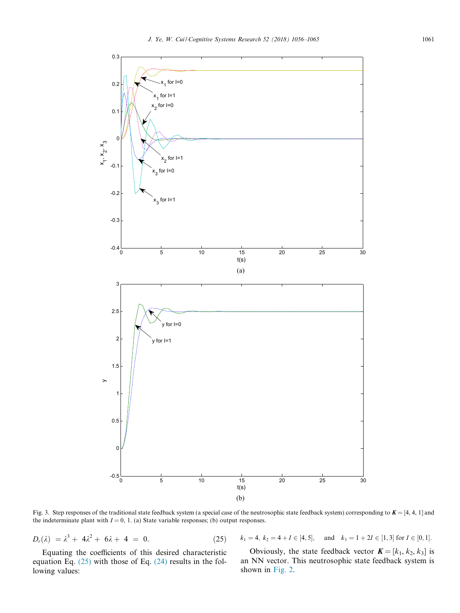<span id="page-5-0"></span>

Fig. 3. Step responses of the traditional state feedback system (a special case of the neutrosophic state feedback system) corresponding to  $K = [4, 4, 1]$  and the indeterminate plant with  $I = 0$ , 1. (a) State variable responses; (b) output responses.

$$
D_r(\lambda) = \lambda^3 + 4\lambda^2 + 6\lambda + 4 = 0. \tag{25}
$$

Equating the coefficients of this desired characteristic equation Eq. (25) with those of Eq. [\(24\)](#page-4-0) results in the following values:

 $k_1 = 4, k_2 = 4 + I \in [4, 5], \text{ and } k_3 = 1 + 2I \in [1, 3] \text{ for } I \in [0, 1].$ 

Obviously, the state feedback vector  $\mathbf{K} = [k_1, k_2, k_3]$  is an NN vector. This neutrosophic state feedback system is shown in [Fig. 2](#page-4-0).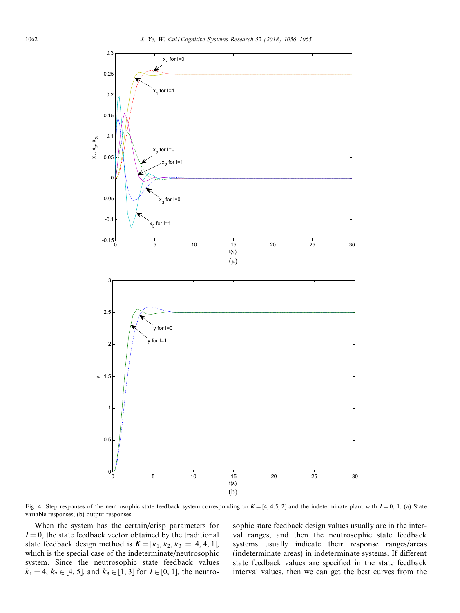<span id="page-6-0"></span>

Fig. 4. Step responses of the neutrosophic state feedback system corresponding to  $K = [4, 4.5, 2]$  and the indeterminate plant with  $I = 0, 1$ . (a) State variable responses; (b) output responses.

When the system has the certain/crisp parameters for  $I = 0$ , the state feedback vector obtained by the traditional state feedback design method is  $\mathbf{K} = [k_1, k_2, k_3] = [4, 4, 1]$ , which is the special case of the indeterminate/neutrosophic system. Since the neutrosophic state feedback values  $k_1 = 4, k_2 \in [4, 5]$ , and  $k_3 \in [1, 3]$  for  $I \in [0, 1]$ , the neutrosophic state feedback design values usually are in the interval ranges, and then the neutrosophic state feedback systems usually indicate their response ranges/areas (indeterminate areas) in indeterminate systems. If different state feedback values are specified in the state feedback interval values, then we can get the best curves from the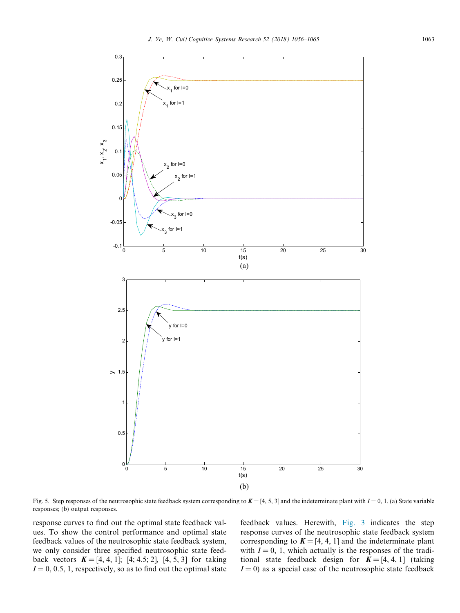<span id="page-7-0"></span>

Fig. 5. Step responses of the neutrosophic state feedback system corresponding to  $K = [4, 5, 3]$  and the indeterminate plant with  $I = 0, 1$ . (a) State variable responses; (b) output responses.

response curves to find out the optimal state feedback values. To show the control performance and optimal state feedback values of the neutrosophic state feedback system, we only consider three specified neutrosophic state feedback vectors  $K = [4, 4, 1]$ ; [4; 4.5; 2], [4, 5, 3] for taking  $I = 0, 0.5, 1$ , respectively, so as to find out the optimal state feedback values. Herewith, [Fig. 3](#page-5-0) indicates the step response curves of the neutrosophic state feedback system corresponding to  $K = [4, 4, 1]$  and the indeterminate plant with  $I = 0$ , 1, which actually is the responses of the traditional state feedback design for  $K = [4, 4, 1]$  (taking  $I = 0$ ) as a special case of the neutrosophic state feedback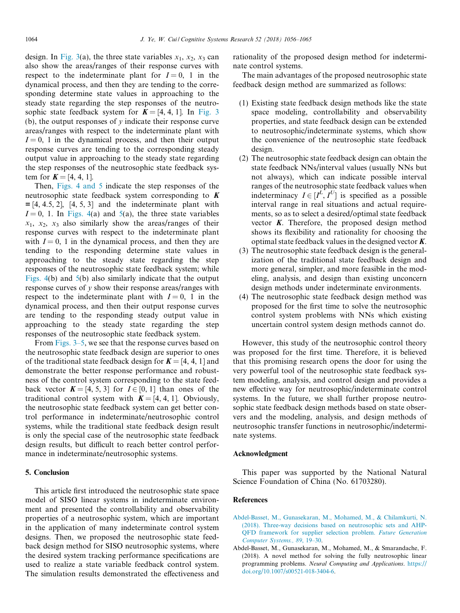<span id="page-8-0"></span>design. In [Fig. 3](#page-5-0)(a), the three state variables  $x_1$ ,  $x_2$ ,  $x_3$  can also show the areas/ranges of their response curves with respect to the indeterminate plant for  $I = 0$ , 1 in the dynamical process, and then they are tending to the corresponding determine state values in approaching to the steady state regarding the step responses of the neutrosophic state feedback system for  $K = [4, 4, 1]$ . In [Fig. 3](#page-5-0) (b), the output responses of  $y$  indicate their response curve areas/ranges with respect to the indeterminate plant with  $I = 0$ , 1 in the dynamical process, and then their output response curves are tending to the corresponding steady output value in approaching to the steady state regarding the step responses of the neutrosophic state feedback system for  $K = [4, 4, 1]$ .

Then, [Figs. 4 and 5](#page-6-0) indicate the step responses of the neutrosophic state feedback system corresponding to  $K$  $=[4, 4.5, 2]$ ,  $[4, 5, 3]$  and the indeterminate plant with  $I = 0$ , 1. In [Figs. 4\(](#page-6-0)a) and [5](#page-7-0)(a), the three state variables  $x_1$ ,  $x_2$ ,  $x_3$  also similarly show the areas/ranges of their response curves with respect to the indeterminate plant with  $I = 0$ , 1 in the dynamical process, and then they are tending to the responding determine state values in approaching to the steady state regarding the step responses of the neutrosophic state feedback system; while [Figs. 4](#page-6-0)(b) and [5\(](#page-7-0)b) also similarly indicate that the output response curves of y show their response areas/ranges with respect to the indeterminate plant with  $I = 0$ , 1 in the dynamical process, and then their output response curves are tending to the responding steady output value in approaching to the steady state regarding the step responses of the neutrosophic state feedback system.

From [Figs. 3–5](#page-5-0), we see that the response curves based on the neutrosophic state feedback design are superior to ones of the traditional state feedback design for  $K = [4, 4, 1]$  and demonstrate the better response performance and robustness of the control system corresponding to the state feedback vector  $K = [4, 5, 3]$  for  $I \in [0, 1]$  than ones of the traditional control system with  $K = [4, 4, 1]$ . Obviously, the neutrosophic state feedback system can get better control performance in indeterminate/neutrosophic control systems, while the traditional state feedback design result is only the special case of the neutrosophic state feedback design results, but difficult to reach better control performance in indeterminate/neutrosophic systems.

### 5. Conclusion

This article first introduced the neutrosophic state space model of SISO linear systems in indeterminate environment and presented the controllability and observability properties of a neutrosophic system, which are important in the application of many indeterminate control system designs. Then, we proposed the neutrosophic state feedback design method for SISO neutrosophic systems, where the desired system tracking performance specifications are used to realize a state variable feedback control system. The simulation results demonstrated the effectiveness and

rationality of the proposed design method for indeterminate control systems.

The main advantages of the proposed neutrosophic state feedback design method are summarized as follows:

- (1) Existing state feedback design methods like the state space modeling, controllability and observability properties, and state feedback design can be extended to neutrosophic/indeterminate systems, which show the convenience of the neutrosophic state feedback design.
- (2) The neutrosophic state feedback design can obtain the state feedback NNs/interval values (usually NNs but not always), which can indicate possible interval ranges of the neutrosophic state feedback values when indeterminacy  $I \in [I^L, I^U]$  is specified as a possible interval range in real situations and actual requirements, so as to select a desired/optimal state feedback vector  $K$ . Therefore, the proposed design method shows its flexibility and rationality for choosing the optimal state feedback values in the designed vector  $K$ .
- (3) The neutrosophic state feedback design is the generalization of the traditional state feedback design and more general, simpler, and more feasible in the modeling, analysis, and design than existing unconcern design methods under indeterminate environments.
- (4) The neutrosophic state feedback design method was proposed for the first time to solve the neutrosophic control system problems with NNs which existing uncertain control system design methods cannot do.

However, this study of the neutrosophic control theory was proposed for the first time. Therefore, it is believed that this promising research opens the door for using the very powerful tool of the neutrosophic state feedback system modeling, analysis, and control design and provides a new effective way for neutrosophic/indeterminate control systems. In the future, we shall further propose neutrosophic state feedback design methods based on state observers and the modeling, analysis, and design methods of neutrosophic transfer functions in neutrosophic/indeterminate systems.

## Acknowledgment

This paper was supported by the National Natural Science Foundation of China (No. 61703280).

#### **References**

- [Abdel-Basset, M., Gunasekaran, M., Mohamed, M., & Chilamkurti, N.](http://refhub.elsevier.com/S1389-0417(18)30427-3/h0005) [\(2018\). Three-way decisions based on neutrosophic sets and AHP-](http://refhub.elsevier.com/S1389-0417(18)30427-3/h0005)[QFD framework for supplier selection problem.](http://refhub.elsevier.com/S1389-0417(18)30427-3/h0005) Future Generation [Computer Systems., 89](http://refhub.elsevier.com/S1389-0417(18)30427-3/h0005)[, 19–30](http://refhub.elsevier.com/S1389-0417(18)30427-3/h0005).
- Abdel-Basset, M., Gunasekaran, M., Mohamed, M., & Smarandache, F. (2018). A novel method for solving the fully neutrosophic linear programming problems. Neural Computing and Applications. [https://](https://doi.org/10.1007/s00521-018-3404-6) [doi.org/10.1007/s00521-018-3404-6.](https://doi.org/10.1007/s00521-018-3404-6)